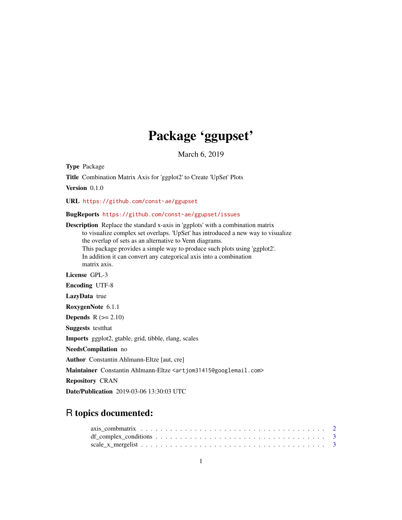# Package 'ggupset'

March 6, 2019

<span id="page-0-0"></span>Type Package

Title Combination Matrix Axis for 'ggplot2' to Create 'UpSet' Plots

Version 0.1.0

URL <https://github.com/const-ae/ggupset>

# BugReports <https://github.com/const-ae/ggupset/issues>

Description Replace the standard x-axis in 'ggplots' with a combination matrix to visualize complex set overlaps. 'UpSet' has introduced a new way to visualize the overlap of sets as an alternative to Venn diagrams. This package provides a simple way to produce such plots using 'ggplot2'. In addition it can convert any categorical axis into a combination matrix axis. License GPL-3 Encoding UTF-8 LazyData true RoxygenNote 6.1.1 **Depends**  $R$  ( $>= 2.10$ ) Suggests testthat Imports ggplot2, gtable, grid, tibble, rlang, scales NeedsCompilation no Author Constantin Ahlmann-Eltze [aut, cre] Maintainer Constantin Ahlmann-Eltze <artjom31415@googlemail.com> Repository CRAN Date/Publication 2019-03-06 13:30:03 UTC

# R topics documented: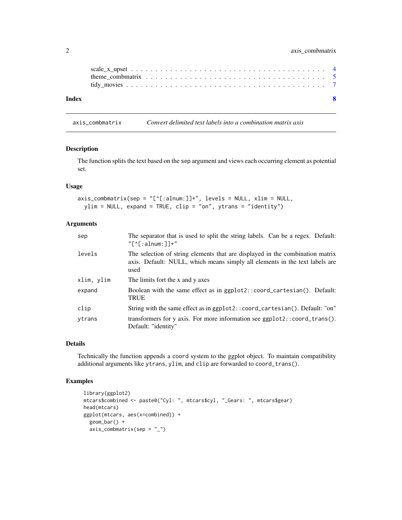<span id="page-1-0"></span>

| Index |  |  |  |  |  |  |  |  |  |  |  |  |  |  |  |  |
|-------|--|--|--|--|--|--|--|--|--|--|--|--|--|--|--|--|

axis\_combmatrix *Convert delimited text labels into a combination matrix axis*

#### Description

The function splits the text based on the sep argument and views each occurring element as potential set.

# Usage

```
axis_{\text{combmatrix}}(sep = "['1:alnum:]] +", levels = NULL, xlim = NULL,ylim = NULL, expand = TRUE, clip = "on", ytrans = "identity")
```
# Arguments

| sep        | The separator that is used to split the string labels. Can be a regex. Default:<br>$"$ $\lceil$ $\uparrow$ $\lceil$ : alnum: $\lceil$ $\uparrow$ +"                  |
|------------|----------------------------------------------------------------------------------------------------------------------------------------------------------------------|
| levels     | The selection of string elements that are displayed in the combination matrix<br>axis. Default: NULL, which means simply all elements in the text labels are<br>used |
| xlim, ylim | The limits fort the x and y axes                                                                                                                                     |
| expand     | Boolean with the same effect as in ggplot2::coord_cartesian(). Default:<br><b>TRUE</b>                                                                               |
| clip       | String with the same effect as in ggplot2::coord_cartesian(). Default: "on"                                                                                          |
| ytrans     | transformers for y axis. For more information see ggplot2::coord_trans().<br>Default: "identity"                                                                     |

#### Details

Technically the function appends a coord system to the ggplot object. To maintain compatibility additional arguments like ytrans, ylim, and clip are forwarded to coord\_trans().

# Examples

```
library(ggplot2)
mtcars$combined <- paste0("Cyl: ", mtcars$cyl, "_Gears: ", mtcars$gear)
head(mtcars)
ggplot(mtcars, aes(x=combined)) +
 geom_bar() +
 axis_combmatrix(sep = "_")
```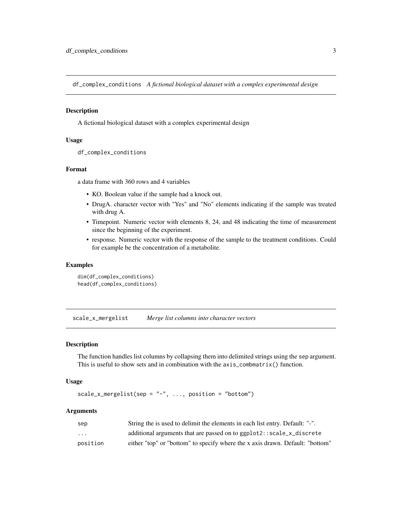<span id="page-2-0"></span>df\_complex\_conditions *A fictional biological dataset with a complex experimental design*

#### **Description**

A fictional biological dataset with a complex experimental design

#### Usage

```
df_complex_conditions
```
#### Format

a data frame with 360 rows and 4 variables

- KO. Boolean value if the sample had a knock out.
- DrugA. character vector with "Yes" and "No" elements indicating if the sample was treated with drug A.
- Timepoint. Numeric vector with elements 8, 24, and 48 indicating the time of measurement since the beginning of the experiment.
- response. Numeric vector with the response of the sample to the treatment conditions. Could for example be the concentration of a metabolite.

#### Examples

```
dim(df_complex_conditions)
head(df_complex_conditions)
```
scale\_x\_mergelist *Merge list columns into character vectors*

#### Description

The function handles list columns by collapsing them into delimited strings using the sep argument. This is useful to show sets and in combination with the axis\_combmatrix() function.

#### Usage

```
scale_x_mergelist(sep = "-'", ..., position = "bottom")
```
# Arguments

| sep      | String the is used to delimit the elements in each list entry. Default: "-".  |
|----------|-------------------------------------------------------------------------------|
| $\cdots$ | additional arguments that are passed on to ggplot2::scale_x_discrete          |
| position | either "top" or "bottom" to specify where the x axis drawn. Default: "bottom" |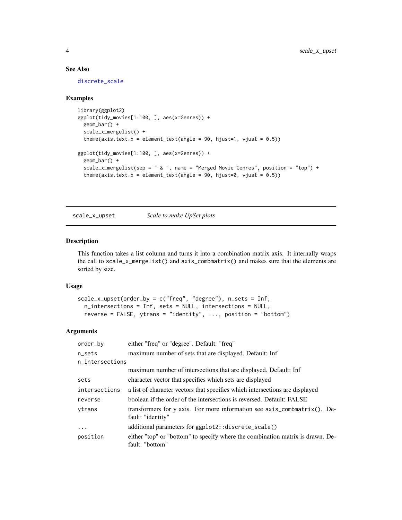# See Also

[discrete\\_scale](#page-0-0)

#### Examples

```
library(ggplot2)
ggplot(tidy_movies[1:100, ], aes(x=Genres)) +
  geom_bar() +
  scale_x_mergelist() +
  theme(axis.text.x = element_text(angle = 90, hjust=1, vjust = (0.5))
ggplot(tidy_movies[1:100, ], aes(x=Genres)) +
  geom_bar() +
  scale_x_mergelist(sep = " & ", name = "Merged Movie Genres", position = "top") +
  theme(axis.text.x = element_text(angle = 90, hjust=0, vjust = 0.5))
```
scale\_x\_upset *Scale to make UpSet plots*

#### Description

This function takes a list column and turns it into a combination matrix axis. It internally wraps the call to scale\_x\_mergelist() and axis\_combmatrix() and makes sure that the elements are sorted by size.

#### Usage

```
scale_x_upset(order_by = c("freq", "degree"), n_sets = Inf,
 n_intersections = Inf, sets = NULL, intersections = NULL,
  reverse = FALSE, ytrans = "identity", ..., position = "bottom")
```
#### Arguments

| order_by        | either "freq" or "degree". Default: "freq"                                                               |
|-----------------|----------------------------------------------------------------------------------------------------------|
| n_sets          | maximum number of sets that are displayed. Default: Inf                                                  |
| n_intersections |                                                                                                          |
|                 | maximum number of intersections that are displayed. Default: Inf                                         |
| sets            | character vector that specifies which sets are displayed                                                 |
| intersections   | a list of character vectors that specifies which intersections are displayed                             |
| reverse         | boolean if the order of the intersections is reversed. Default: FALSE                                    |
| vtrans          | transformers for y axis. For more information see $axis_{\text{combinatrix}}$ . De-<br>fault: "identity" |
| $\cdots$        | additional parameters for ggplot2::discrete_scale()                                                      |
| position        | either "top" or "bottom" to specify where the combination matrix is drawn. De-<br>fault: "bottom"        |

<span id="page-3-0"></span>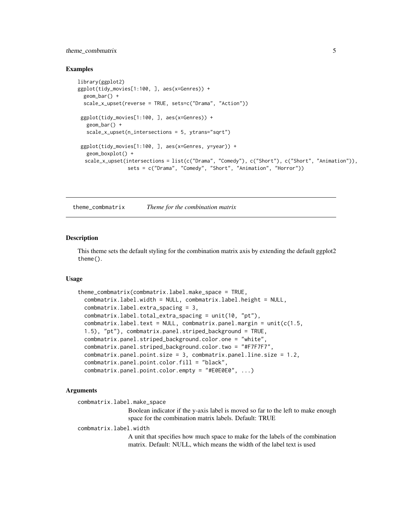# <span id="page-4-0"></span>theme\_combmatrix 5

#### Examples

```
library(ggplot2)
ggplot(tidy_movies[1:100, ], aes(x=Genres)) +
 geom_bar() +
 scale_x_upset(reverse = TRUE, sets=c("Drama", "Action"))
 ggplot(tidy_movies[1:100, ], aes(x=Genres)) +
  geom_bar() +
   scale_x_upset(n_intersections = 5, ytrans="sqrt")
 ggplot(tidy_movies[1:100, ], aes(x=Genres, y=year)) +
  geom_boxplot() +
  scale_x_upset(intersections = list(c("Drama", "Comedy"), c("Short"), c("Short", "Animation")),
                 sets = c("Drama", "Comedy", "Short", "Animation", "Horror"))
```
theme\_combmatrix *Theme for the combination matrix*

# Description

This theme sets the default styling for the combination matrix axis by extending the default ggplot2 theme().

#### Usage

```
theme_combmatrix(combmatrix.label.make_space = TRUE,
 combmatrix.label.width = NULL, combmatrix.label.height = NULL,
 combmatrix.label.extra_spacing = 3,
 combmatrix.label.total_extra_spacing = unit(10, "pt"),
 combmatrix.label.text = NULL, combmatrix.panel.margin = unit(c(1.5,1.5), "pt"), combmatrix.panel.striped_background = TRUE,
 combmatrix.panel.striped_background.color.one = "white",
 combmatrix.panel.striped_background.color.two = "#F7F7F7",
 combmatrix.panel.point.size = 3, combmatrix.panel.line.size = 1.2,
 combmatrix.panel.point.color.fill = "black",
 combmatrix.panel.point.color.empty = "#E0E0E0", ...)
```
#### Arguments

combmatrix.label.make\_space

Boolean indicator if the y-axis label is moved so far to the left to make enough space for the combination matrix labels. Default: TRUE

combmatrix.label.width

A unit that specifies how much space to make for the labels of the combination matrix. Default: NULL, which means the width of the label text is used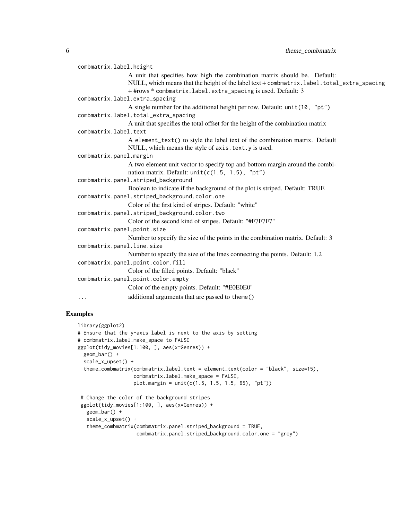```
combmatrix.label.height
                 A unit that specifies how high the combination matrix should be. Default:
                 NULL, which means that the height of the label text + combmatrix.label.total_extra_spacing
                 + #rows * combmatrix.label.extra_spacing is used. Default: 3
combmatrix.label.extra_spacing
                 A single number for the additional height per row. Default: unit(10, "pt")
combmatrix.label.total_extra_spacing
                 A unit that specifies the total offset for the height of the combination matrix
combmatrix.label.text
                 A element_text() to style the label text of the combination matrix. Default
                 NULL, which means the style of axis.text.y is used.
combmatrix.panel.margin
                 A two element unit vector to specify top and bottom margin around the combi-
                 nation matrix. Default: unit(c(1.5, 1.5), "pt")
combmatrix.panel.striped_background
                 Boolean to indicate if the background of the plot is striped. Default: TRUE
combmatrix.panel.striped_background.color.one
                 Color of the first kind of stripes. Default: "white"
combmatrix.panel.striped_background.color.two
                 Color of the second kind of stripes. Default: "#F7F7F7"
combmatrix.panel.point.size
                 Number to specify the size of the points in the combination matrix. Default: 3
combmatrix.panel.line.size
                 Number to specify the size of the lines connecting the points. Default: 1.2
combmatrix.panel.point.color.fill
                 Color of the filled points. Default: "black"
combmatrix.panel.point.color.empty
                 Color of the empty points. Default: "#E0E0E0"
... additional arguments that are passed to theme()
```
#### Examples

```
library(ggplot2)
# Ensure that the y-axis label is next to the axis by setting
# combmatrix.label.make_space to FALSE
ggplot(tidy_movies[1:100, ], aes(x=Genres)) +
 geom_bar() +
 scale_x_upset() +
  theme_combmatrix(combmatrix.label.text = element_text(color = "black", size=15),
                   combmatrix.label.make_space = FALSE,
                   plot.margin = unit(c(1.5, 1.5, 1.5, 65), "pt")# Change the color of the background stripes
 ggplot(tidy_movies[1:100, ], aes(x=Genres)) +
   geom_bar() +
   scale_x_upset() +
```

```
theme_combmatrix(combmatrix.panel.striped_background = TRUE,
                combmatrix.panel.striped_background.color.one = "grey")
```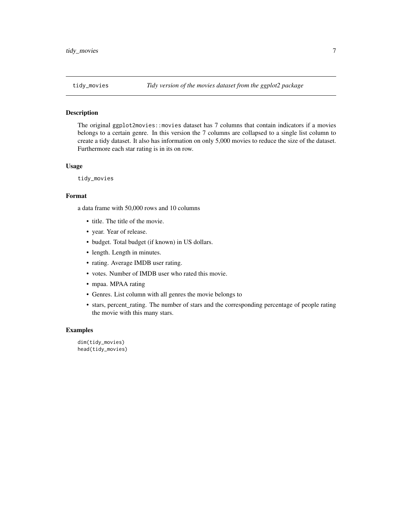<span id="page-6-0"></span>

# Description

The original ggplot2movies::movies dataset has 7 columns that contain indicators if a movies belongs to a certain genre. In this version the 7 columns are collapsed to a single list column to create a tidy dataset. It also has information on only 5,000 movies to reduce the size of the dataset. Furthermore each star rating is in its on row.

#### Usage

tidy\_movies

#### Format

a data frame with 50,000 rows and 10 columns

- title. The title of the movie.
- year. Year of release.
- budget. Total budget (if known) in US dollars.
- length. Length in minutes.
- rating. Average IMDB user rating.
- votes. Number of IMDB user who rated this movie.
- mpaa. MPAA rating
- Genres. List column with all genres the movie belongs to
- stars, percent\_rating. The number of stars and the corresponding percentage of people rating the movie with this many stars.

# Examples

dim(tidy\_movies) head(tidy\_movies)